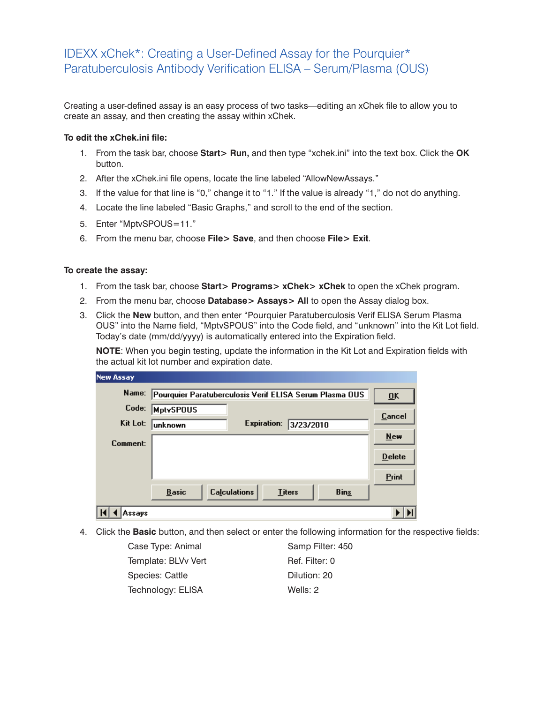## IDEXX xChek\*: Creating a User-Defined Assay for the Pourquier\* Paratuberculosis Antibody Verification ELISA – Serum/Plasma (OUS)

Creating a user-defined assay is an easy process of two tasks—editing an xChek file to allow you to create an assay, and then creating the assay within xChek.

## **To edit the xChek.ini file:**

- 1. From the task bar, choose **Start> Run,** and then type "xchek.ini" into the text box. Click the **OK**  button.
- 2. After the xChek.ini file opens, locate the line labeled "AllowNewAssays."
- 3. If the value for that line is "0," change it to "1." If the value is already "1," do not do anything.
- 4. Locate the line labeled "Basic Graphs," and scroll to the end of the section.
- 5. Enter "MptvSPOUS=11."
- 6. From the menu bar, choose **File> Save**, and then choose **File> Exit**.

## **To create the assay:**

- 1. From the task bar, choose **Start> Programs> xChek> xChek** to open the xChek program.
- 2. From the menu bar, choose **Database> Assays> All** to open the Assay dialog box.
- 3. Click the **New** button, and then enter "Pourquier Paratuberculosis Verif ELISA Serum Plasma OUS" into the Name field, "MptvSPOUS" into the Code field, and "unknown" into the Kit Lot field. Today's date (mm/dd/yyyy) is automatically entered into the Expiration field.

**NOTE:** When you begin testing, update the information in the Kit Lot and Expiration fields with the actual kit lot number and expiration date.

| <b>New Assay</b> |                                                         |                  |  |
|------------------|---------------------------------------------------------|------------------|--|
| Name:            | Pourquier Paratuberculosis Verif ELISA Serum Plasma OUS |                  |  |
| Code:            | <b>MptvSPOUS</b>                                        | <b>Cancel</b>    |  |
| Kit Lot:         | <b>Expiration:</b><br>unknown                           | 3/23/2010<br>New |  |
| Comment:         |                                                         |                  |  |
|                  |                                                         | <b>Delete</b>    |  |
|                  |                                                         | Print            |  |
|                  | <b>Calculations</b><br><b>Basic</b><br><b>Titers</b>    | <b>Bins</b>      |  |
| Assavs           |                                                         |                  |  |

4. Click the **Basic** button, and then select or enter the following information for the respective fields:

| Case Type: Animal   | Samp Filter: 450 |
|---------------------|------------------|
| Template: BLVv Vert | Ref. Filter: 0   |
| Species: Cattle     | Dilution: 20     |
| Technology: ELISA   | Wells: 2         |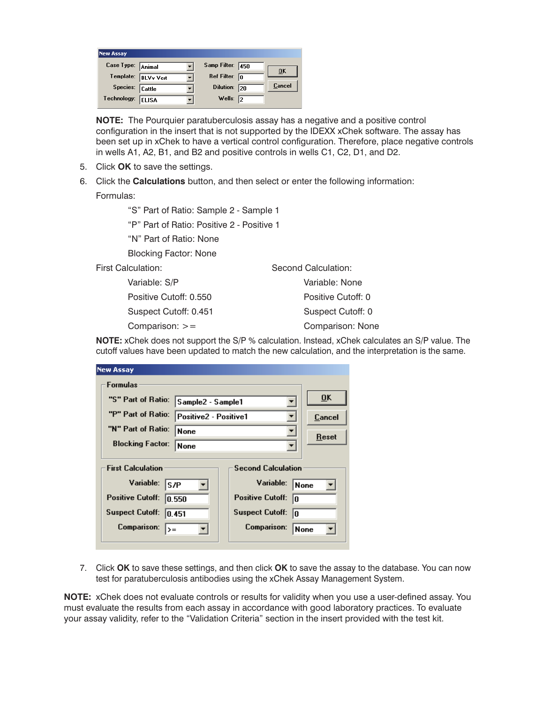| <b>New Assay</b>  |                  |                         |                           |
|-------------------|------------------|-------------------------|---------------------------|
| Case Type: Animal |                  | Samp Filter: 450        | $\overline{\mathbf{0}}$ K |
| Template:         | <b>BLVv Vert</b> | Ref Filter: $\boxed{0}$ |                           |
| Species: Cattle   |                  | Dilution: 20            | Cancel                    |
| Technology:       | <b>ELISA</b>     | Wells: $\sqrt{2}$       |                           |

**NOTE:** The Pourquier paratuberculosis assay has a negative and a positive control configuration in the insert that is not supported by the IDEXX xChek software. The assay has been set up in xChek to have a vertical control configuration. Therefore, place negative controls in wells A1, A2, B1, and B2 and positive controls in wells C1, C2, D1, and D2.

- 5. Click **OK** to save the settings.
- 6. Click the **Calculations** button, and then select or enter the following information:

Formulas:

"S" Part of Ratio: Sample 2 - Sample 1

"P" Part of Ratio: Positive 2 - Positive 1

"N" Part of Ratio: None

Blocking Factor: None

 Variable: S/P Positive Cutoff: 0.550 Suspect Cutoff: 0.451 Comparison: >=

Second Calculation: Variable: None Positive Cutoff: 0 Suspect Cutoff: 0 Comparison: None

**NOTE:** xChek does not support the S/P % calculation. Instead, xChek calculates an S/P value. The cutoff values have been updated to match the new calculation, and the interpretation is the same.

| <b>New Assay</b>                                                                                                       |                       |                                                                                                                  |        |
|------------------------------------------------------------------------------------------------------------------------|-----------------------|------------------------------------------------------------------------------------------------------------------|--------|
| Formulas                                                                                                               |                       |                                                                                                                  |        |
| "S" Part of Ratio:                                                                                                     | Sample2 - Sample1     |                                                                                                                  | 0K     |
| "P" Part of Ratio:                                                                                                     | Positive2 - Positive1 |                                                                                                                  | Cancel |
| "N" Part of Ratio:                                                                                                     | None                  |                                                                                                                  | Reset  |
| <b>Blocking Factor:</b>                                                                                                | <b>None</b>           |                                                                                                                  |        |
| <b>First Calculation</b><br>Variable:<br>ls/P<br><b>Positive Cutoff:</b><br>10.550<br><b>Suspect Cutoff:</b><br>10.451 |                       | <b>Second Calculation</b><br>Variable:<br> None<br><b>Positive Cutoff:</b><br>lo<br><b>Suspect Cutoff:</b><br>lo |        |
| <b>Comparison:</b><br>$\rangle =$                                                                                      |                       | Comparison:                                                                                                      | None   |

7. Click **OK** to save these settings, and then click **OK** to save the assay to the database. You can now test for paratuberculosis antibodies using the xChek Assay Management System.

**NOTE:** xChek does not evaluate controls or results for validity when you use a user-defined assay. You must evaluate the results from each assay in accordance with good laboratory practices. To evaluate your assay validity, refer to the "Validation Criteria" section in the insert provided with the test kit.